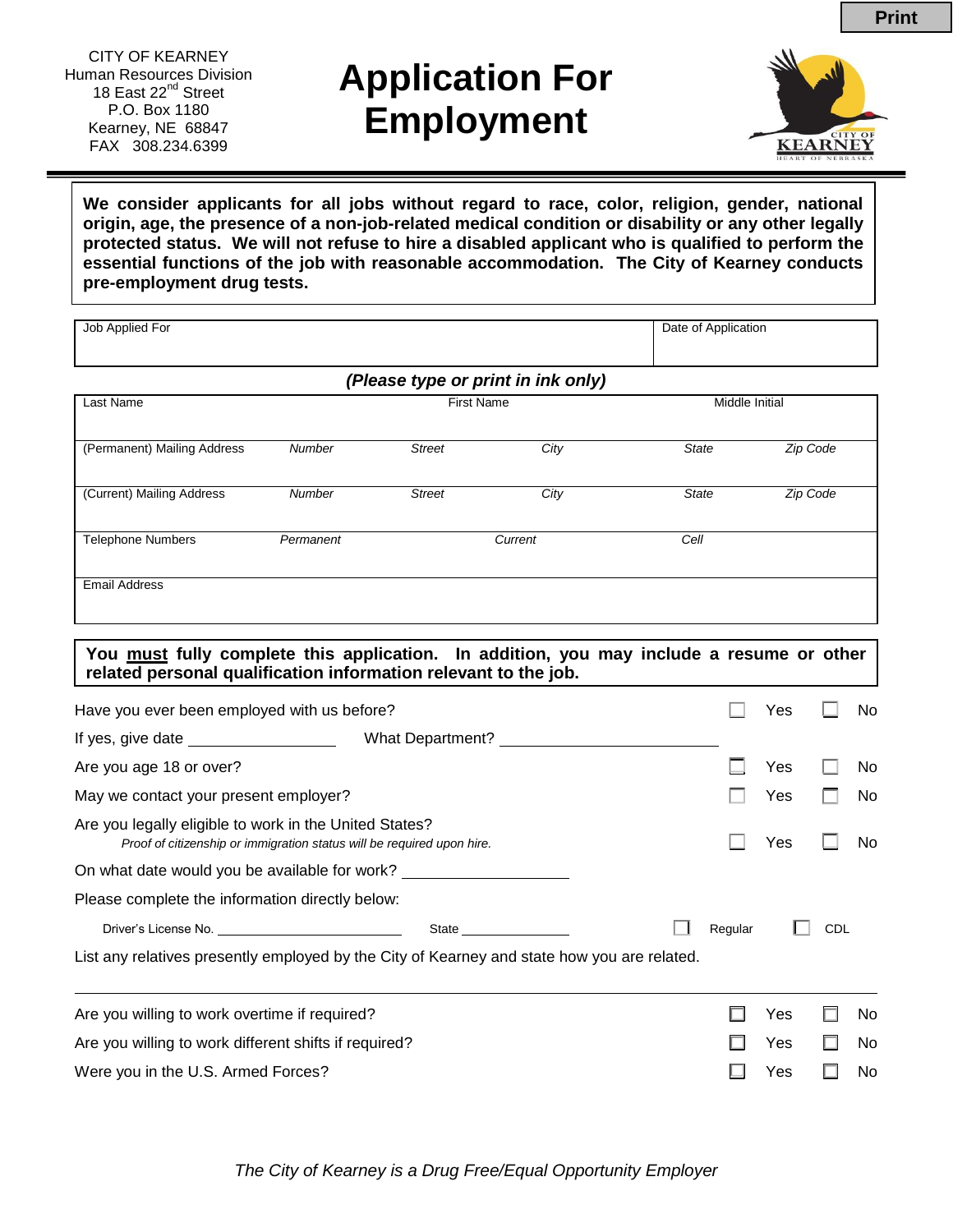# **Application For Employment**



**We consider applicants for all jobs without regard to race, color, religion, gender, national origin, age, the presence of a non-job-related medical condition or disability or any other legally protected status. We will not refuse to hire a disabled applicant who is qualified to perform the essential functions of the job with reasonable accommodation. The City of Kearney conducts pre-employment drug tests.**

Job Applied For **Date of Application** 

| <b>First Name</b>                                                                                                                |               |                                                                                                                                                                                                                           |                                                                                                                                                                | Middle Initial                                                                              |                                      |            |                                                                                                                  |
|----------------------------------------------------------------------------------------------------------------------------------|---------------|---------------------------------------------------------------------------------------------------------------------------------------------------------------------------------------------------------------------------|----------------------------------------------------------------------------------------------------------------------------------------------------------------|---------------------------------------------------------------------------------------------|--------------------------------------|------------|------------------------------------------------------------------------------------------------------------------|
|                                                                                                                                  |               |                                                                                                                                                                                                                           |                                                                                                                                                                |                                                                                             |                                      |            |                                                                                                                  |
|                                                                                                                                  |               |                                                                                                                                                                                                                           |                                                                                                                                                                |                                                                                             |                                      |            |                                                                                                                  |
| Number                                                                                                                           | <b>Street</b> | City                                                                                                                                                                                                                      |                                                                                                                                                                |                                                                                             |                                      |            |                                                                                                                  |
| Permanent                                                                                                                        |               | Current                                                                                                                                                                                                                   |                                                                                                                                                                |                                                                                             |                                      |            |                                                                                                                  |
|                                                                                                                                  |               |                                                                                                                                                                                                                           |                                                                                                                                                                |                                                                                             |                                      |            |                                                                                                                  |
|                                                                                                                                  |               |                                                                                                                                                                                                                           |                                                                                                                                                                |                                                                                             |                                      |            |                                                                                                                  |
|                                                                                                                                  |               |                                                                                                                                                                                                                           |                                                                                                                                                                |                                                                                             | Yes                                  |            | No                                                                                                               |
|                                                                                                                                  |               |                                                                                                                                                                                                                           |                                                                                                                                                                |                                                                                             |                                      |            |                                                                                                                  |
|                                                                                                                                  |               |                                                                                                                                                                                                                           |                                                                                                                                                                |                                                                                             | Yes                                  |            | No                                                                                                               |
| May we contact your present employer?                                                                                            |               |                                                                                                                                                                                                                           |                                                                                                                                                                |                                                                                             | Yes                                  |            | No                                                                                                               |
| Are you legally eligible to work in the United States?<br>Proof of citizenship or immigration status will be required upon hire. |               |                                                                                                                                                                                                                           |                                                                                                                                                                |                                                                                             | Yes                                  |            | No                                                                                                               |
|                                                                                                                                  |               |                                                                                                                                                                                                                           |                                                                                                                                                                |                                                                                             |                                      |            |                                                                                                                  |
|                                                                                                                                  |               |                                                                                                                                                                                                                           |                                                                                                                                                                |                                                                                             |                                      |            |                                                                                                                  |
|                                                                                                                                  |               |                                                                                                                                                                                                                           |                                                                                                                                                                | Regular                                                                                     |                                      | <b>CDL</b> |                                                                                                                  |
|                                                                                                                                  |               |                                                                                                                                                                                                                           |                                                                                                                                                                |                                                                                             |                                      |            |                                                                                                                  |
| Are you willing to work overtime if required?                                                                                    |               |                                                                                                                                                                                                                           |                                                                                                                                                                |                                                                                             | Yes                                  |            | No                                                                                                               |
|                                                                                                                                  |               |                                                                                                                                                                                                                           |                                                                                                                                                                |                                                                                             | Yes                                  |            | No                                                                                                               |
| Were you in the U.S. Armed Forces?                                                                                               |               |                                                                                                                                                                                                                           |                                                                                                                                                                |                                                                                             | Yes                                  |            | No                                                                                                               |
|                                                                                                                                  | Number        | <b>Street</b><br>Have you ever been employed with us before?<br>On what date would you be available for work?<br>Please complete the information directly below:<br>Are you willing to work different shifts if required? | (Please type or print in ink only)<br>City<br>related personal qualification information relevant to the job.<br>What Department? ____<br>State ______________ | List any relatives presently employed by the City of Kearney and state how you are related. | <b>State</b><br><b>State</b><br>Cell |            | Zip Code<br>Zip Code<br>You must fully complete this application. In addition, you may include a resume or other |

*The City of Kearney is a Drug Free/Equal Opportunity Employer*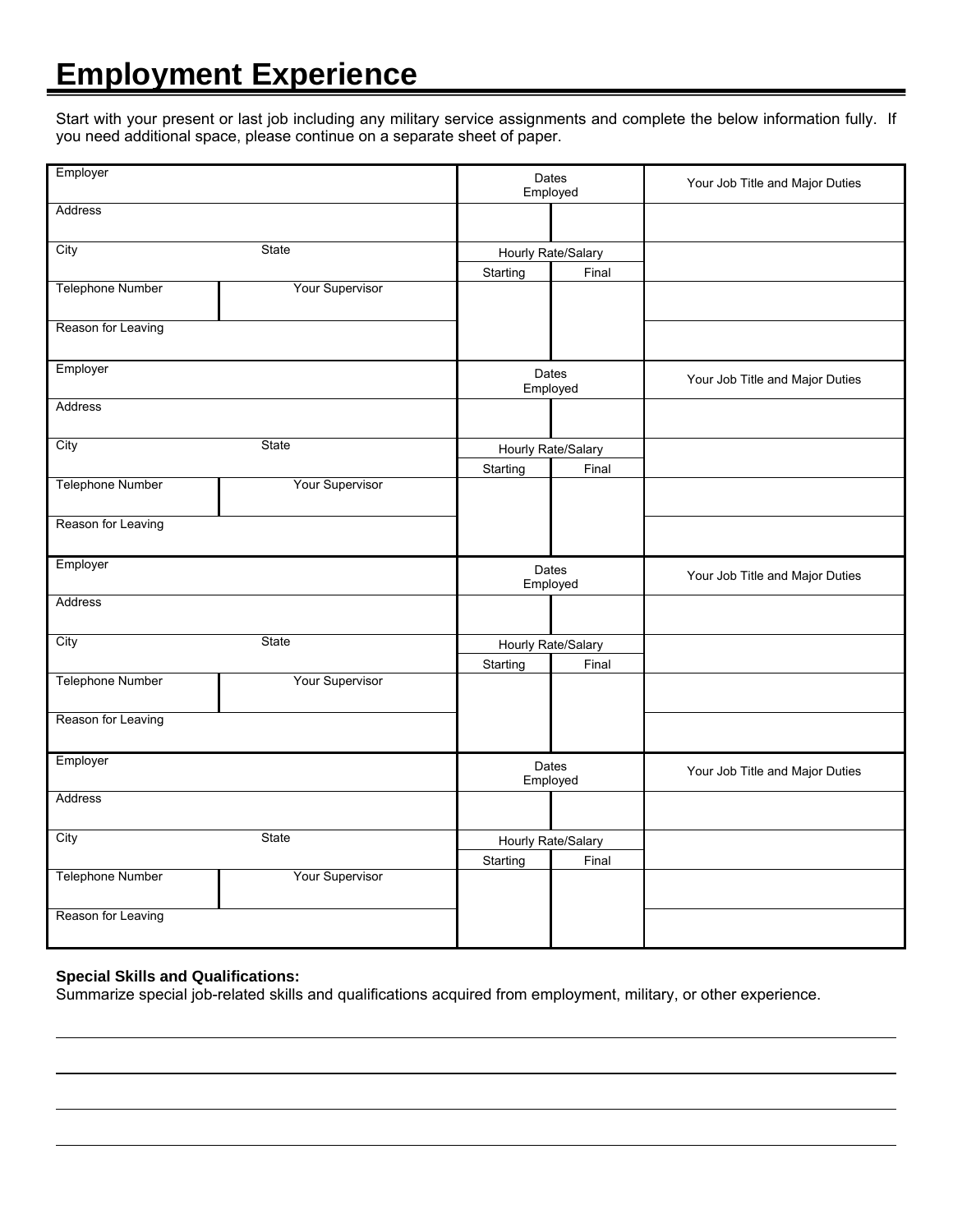### **Employment Experience**

Start with your present or last job including any military service assignments and complete the below information fully. If you need additional space, please continue on a separate sheet of paper.

| Employer                |                 |                    | Dates<br>Employed  | Your Job Title and Major Duties |  |
|-------------------------|-----------------|--------------------|--------------------|---------------------------------|--|
| Address                 |                 |                    |                    |                                 |  |
| State<br>City           |                 |                    | Hourly Rate/Salary |                                 |  |
|                         |                 | Starting           | Final              |                                 |  |
| Telephone Number        | Your Supervisor |                    |                    |                                 |  |
| Reason for Leaving      |                 |                    |                    |                                 |  |
| Employer                |                 |                    | Dates<br>Employed  | Your Job Title and Major Duties |  |
| Address                 |                 |                    |                    |                                 |  |
| City                    | State           |                    | Hourly Rate/Salary |                                 |  |
|                         |                 | Starting           | Final              |                                 |  |
| Telephone Number        | Your Supervisor |                    |                    |                                 |  |
| Reason for Leaving      |                 |                    |                    |                                 |  |
| Employer                |                 |                    | Dates<br>Employed  | Your Job Title and Major Duties |  |
| Address                 |                 |                    |                    |                                 |  |
| City<br>State           |                 | Hourly Rate/Salary |                    |                                 |  |
|                         |                 | Starting           | Final              |                                 |  |
| <b>Telephone Number</b> | Your Supervisor |                    |                    |                                 |  |
| Reason for Leaving      |                 |                    |                    |                                 |  |
| Employer                |                 | Dates<br>Employed  |                    | Your Job Title and Major Duties |  |
| Address                 |                 |                    |                    |                                 |  |
| City                    | State           | Hourly Rate/Salary |                    |                                 |  |
|                         |                 | Starting           | Final              |                                 |  |
| Telephone Number        | Your Supervisor |                    |                    |                                 |  |
| Reason for Leaving      |                 |                    |                    |                                 |  |

#### **Special Skills and Qualifications:**

Summarize special job-related skills and qualifications acquired from employment, military, or other experience.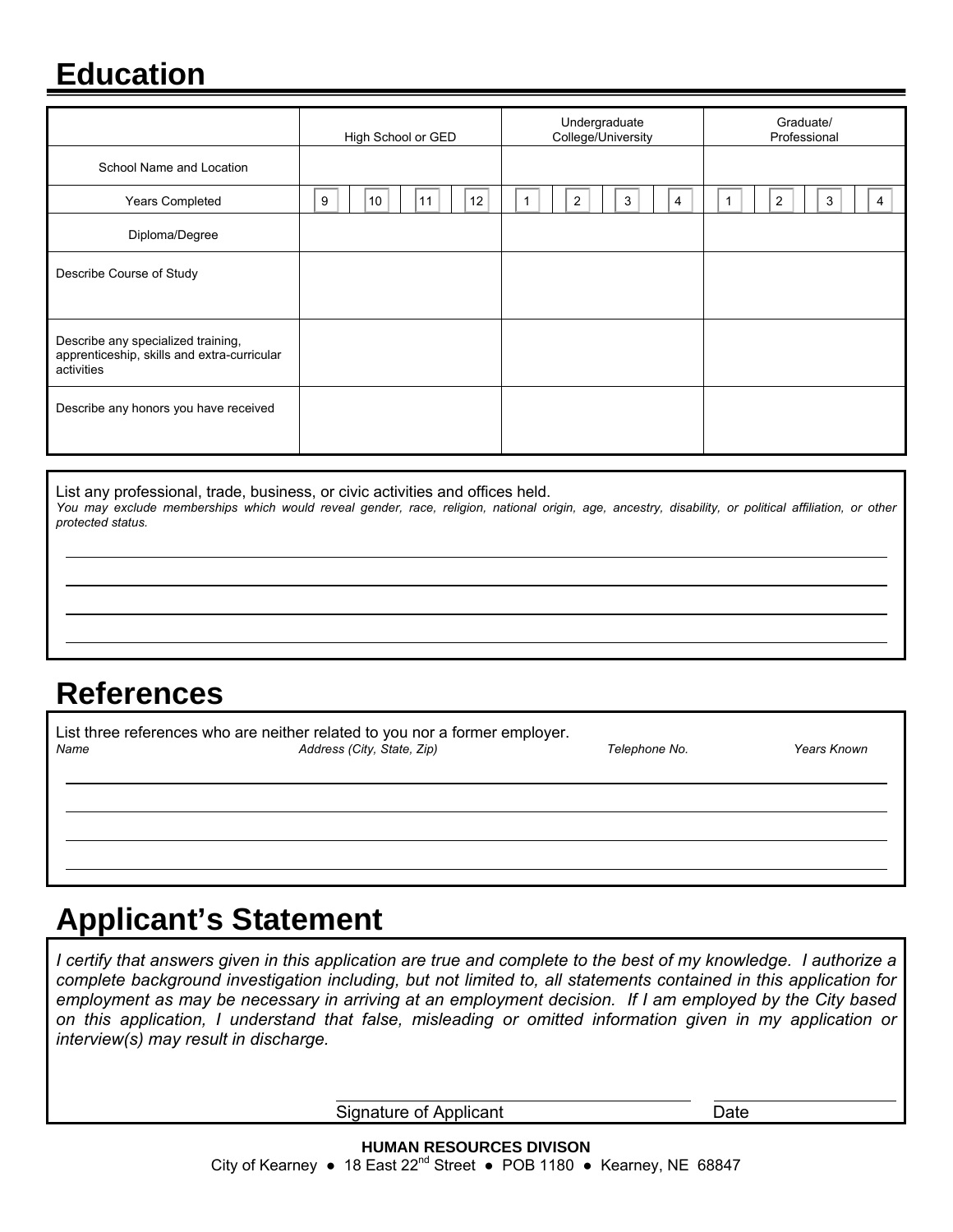### **Education**

|                                                                                                 | High School or GED  | Undergraduate<br>College/University | Graduate/<br>Professional |
|-------------------------------------------------------------------------------------------------|---------------------|-------------------------------------|---------------------------|
| School Name and Location                                                                        |                     |                                     |                           |
| Years Completed                                                                                 | 12<br>10<br>9<br>11 | 3<br>2<br>4                         | $\overline{2}$<br>3<br>4  |
| Diploma/Degree                                                                                  |                     |                                     |                           |
| Describe Course of Study                                                                        |                     |                                     |                           |
| Describe any specialized training,<br>apprenticeship, skills and extra-curricular<br>activities |                     |                                     |                           |
| Describe any honors you have received                                                           |                     |                                     |                           |

List any professional, trade, business, or civic activities and offices held. *You may exclude memberships which would reveal gender, race, religion, national origin, age, ancestry, disability, or political affiliation, or other protected status.* 

#### **References**

| Name | List three references who are neither related to you nor a former employer.<br>Address (City, State, Zip) |  | <b>Years Known</b> |
|------|-----------------------------------------------------------------------------------------------------------|--|--------------------|
|      |                                                                                                           |  |                    |
|      |                                                                                                           |  |                    |

## **Applicant's Statement**

*I certify that answers given in this application are true and complete to the best of my knowledge. I authorize a complete background investigation including, but not limited to, all statements contained in this application for employment as may be necessary in arriving at an employment decision. If I am employed by the City based on this application, I understand that false, misleading or omitted information given in my application or interview(s) may result in discharge.* 

Signature of Applicant Date